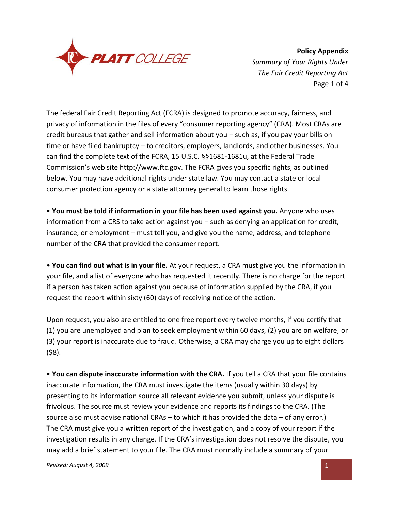

**Policy Appendix** *Summary of Your Rights Under The Fair Credit Reporting Act* Page 1 of 4

The federal Fair Credit Reporting Act (FCRA) is designed to promote accuracy, fairness, and privacy of information in the files of every "consumer reporting agency" (CRA). Most CRAs are credit bureaus that gather and sell information about you – such as, if you pay your bills on time or have filed bankruptcy – to creditors, employers, landlords, and other businesses. You can find the complete text of the FCRA, 15 U.S.C. §§1681-1681u, at the Federal Trade Commission's web site http://www.ftc.gov. The FCRA gives you specific rights, as outlined below. You may have additional rights under state law. You may contact a state or local consumer protection agency or a state attorney general to learn those rights.

• **You must be told if information in your file has been used against you.** Anyone who uses information from a CRS to take action against you – such as denying an application for credit, insurance, or employment – must tell you, and give you the name, address, and telephone number of the CRA that provided the consumer report.

• **You can find out what is in your file.** At your request, a CRA must give you the information in your file, and a list of everyone who has requested it recently. There is no charge for the report if a person has taken action against you because of information supplied by the CRA, if you request the report within sixty (60) days of receiving notice of the action.

Upon request, you also are entitled to one free report every twelve months, if you certify that (1) you are unemployed and plan to seek employment within 60 days, (2) you are on welfare, or (3) your report is inaccurate due to fraud. Otherwise, a CRA may charge you up to eight dollars (\$8).

• **You can dispute inaccurate information with the CRA.** If you tell a CRA that your file contains inaccurate information, the CRA must investigate the items (usually within 30 days) by presenting to its information source all relevant evidence you submit, unless your dispute is frivolous. The source must review your evidence and reports its findings to the CRA. (The source also must advise national CRAs – to which it has provided the data – of any error.) The CRA must give you a written report of the investigation, and a copy of your report if the investigation results in any change. If the CRA's investigation does not resolve the dispute, you may add a brief statement to your file. The CRA must normally include a summary of your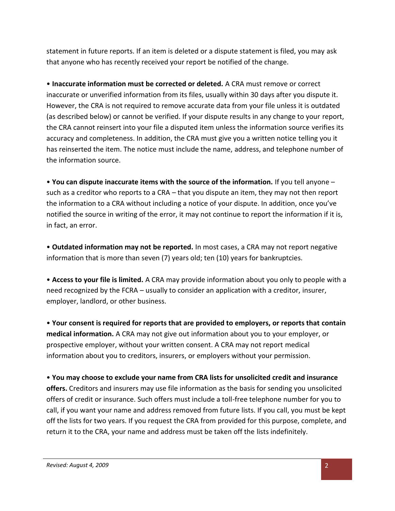statement in future reports. If an item is deleted or a dispute statement is filed, you may ask that anyone who has recently received your report be notified of the change.

• **Inaccurate information must be corrected or deleted.** A CRA must remove or correct inaccurate or unverified information from its files, usually within 30 days after you dispute it. However, the CRA is not required to remove accurate data from your file unless it is outdated (as described below) or cannot be verified. If your dispute results in any change to your report, the CRA cannot reinsert into your file a disputed item unless the information source verifies its accuracy and completeness. In addition, the CRA must give you a written notice telling you it has reinserted the item. The notice must include the name, address, and telephone number of the information source.

• **You can dispute inaccurate items with the source of the information.** If you tell anyone – such as a creditor who reports to a CRA – that you dispute an item, they may not then report the information to a CRA without including a notice of your dispute. In addition, once you've notified the source in writing of the error, it may not continue to report the information if it is, in fact, an error.

• **Outdated information may not be reported.** In most cases, a CRA may not report negative information that is more than seven (7) years old; ten (10) years for bankruptcies.

• **Access to your file is limited.** A CRA may provide information about you only to people with a need recognized by the FCRA – usually to consider an application with a creditor, insurer, employer, landlord, or other business.

• **Your consent is required for reports that are provided to employers, or reports that contain medical information.** A CRA may not give out information about you to your employer, or prospective employer, without your written consent. A CRA may not report medical information about you to creditors, insurers, or employers without your permission.

• **You may choose to exclude your name from CRA lists for unsolicited credit and insurance offers.** Creditors and insurers may use file information as the basis for sending you unsolicited offers of credit or insurance. Such offers must include a toll-free telephone number for you to call, if you want your name and address removed from future lists. If you call, you must be kept off the lists for two years. If you request the CRA from provided for this purpose, complete, and return it to the CRA, your name and address must be taken off the lists indefinitely.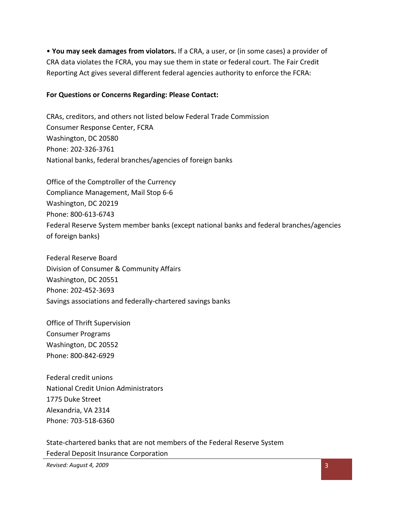• **You may seek damages from violators.** If a CRA, a user, or (in some cases) a provider of CRA data violates the FCRA, you may sue them in state or federal court. The Fair Credit Reporting Act gives several different federal agencies authority to enforce the FCRA:

## **For Questions or Concerns Regarding: Please Contact:**

CRAs, creditors, and others not listed below Federal Trade Commission Consumer Response Center, FCRA Washington, DC 20580 Phone: 202-326-3761 National banks, federal branches/agencies of foreign banks

Office of the Comptroller of the Currency Compliance Management, Mail Stop 6-6 Washington, DC 20219 Phone: 800-613-6743 Federal Reserve System member banks (except national banks and federal branches/agencies of foreign banks)

Federal Reserve Board Division of Consumer & Community Affairs Washington, DC 20551 Phone: 202-452-3693 Savings associations and federally-chartered savings banks

Office of Thrift Supervision Consumer Programs Washington, DC 20552 Phone: 800-842-6929

Federal credit unions National Credit Union Administrators 1775 Duke Street Alexandria, VA 2314 Phone: 703-518-6360

State-chartered banks that are not members of the Federal Reserve System Federal Deposit Insurance Corporation